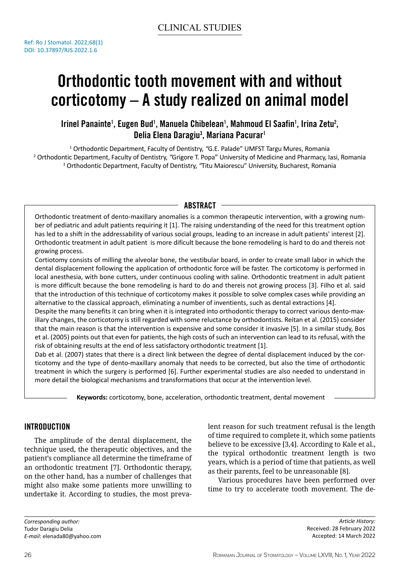# Orthodontic tooth movement with and without corticotomy – A study realized on animal model

Irinel Panainte<sup>1</sup>, Eugen Bud<sup>1</sup>, Manuela Chibelean<sup>1</sup>, Mahmoud El Saafin<sup>1</sup>, Irina Zetu<sup>2</sup>, Delia Elena Daragiu<sup>3</sup>, Mariana Pacurar<sup>1</sup>

<sup>1</sup> Orthodontic Department, Faculty of Dentistry, "G.E. Palade" UMFST Targu Mures, Romania<br><sup>2</sup> Orthodontic Department, Faculty of Dentistry, "Grigore T. Popa" University of Medicine and Pharmacy, Ia Orthodontic Department, Faculty of Dentistry, *"*Grigore T. Popa" University of Medicine and Pharmacy, Iasi, Romania 3 Orthodontic Department, Faculty of Dentistry, *"*Titu Maiorescu" University, Bucharest, Romania

# ABSTRACT -

Orthodontic treatment of dento-maxillary anomalies is a common therapeutic intervention, with a growing number of pediatric and adult patients requiring it [1]. The raising understanding of the need for this treatment option has led to a shift in the addressability of various social groups, leading to an increase in adult patients' interest [2]. Orthodontic treatment in adult patient is more dificult because the bone remodeling is hard to do and thereis not growing process.

Cortiotomy consists of milling the alveolar bone, the vestibular board, in order to create small labor in which the dental displacement following the application of orthodontic force will be faster. The corticotomy is performed in local anesthesia, with bone cutters, under continuous cooling with saline. Orthodontic treatment in adult patient is more difficult because the bone remodeling is hard to do and thereis not growing process [3]. Filho et al. said that the introduction of this technique of corticotomy makes it possible to solve complex cases while providing an alternative to the classical approach, eliminating a number of inventients, such as dental extractions [4].

Despite the many benefits it can bring when it is integrated into orthodontic therapy to correct various dento-maxillary changes, the corticotomy is still regarded with some reluctance by orthodontists. Reitan et al. (2015) consider that the main reason is that the intervention is expensive and some consider it invasive [5]. In a similar study, Bos et al. (2005) points out that even for patients, the high costs of such an intervention can lead to its refusal, with the risk of obtaining results at the end of less satisfactory orthodontic treatment [1].

Dab et al. (2007) states that there is a direct link between the degree of dental displacement induced by the corticotomy and the type of dento-maxillary anomaly that needs to be corrected, but also the time of orthodontic treatment in which the surgery is performed [6]. Further experimental studies are also needed to understand in more detail the biological mechanisms and transformations that occur at the intervention level.

**Keywords:** corticotomy, bone, acceleration, orthodontic treatment, dental movement

# Introduction

The amplitude of the dental displacement, the technique used, the therapeutic objectives, and the patient's compliance all determine the timeframe of an orthodontic treatment [7]. Orthodontic therapy, on the other hand, has a number of challenges that might also make some patients more unwilling to undertake it. According to studies, the most preva-

*Corresponding author:*  Tudor Daragiu Delia *E-mail:* elenada80@yahoo.com lent reason for such treatment refusal is the length of time required to complete it, which some patients believe to be excessive [3,4]. According to Kale et al., the typical orthodontic treatment length is two years, which is a period of time that patients, as well as their parents, feel to be unreasonable [8].

Various procedures have been performed over time to try to accelerate tooth movement. The de-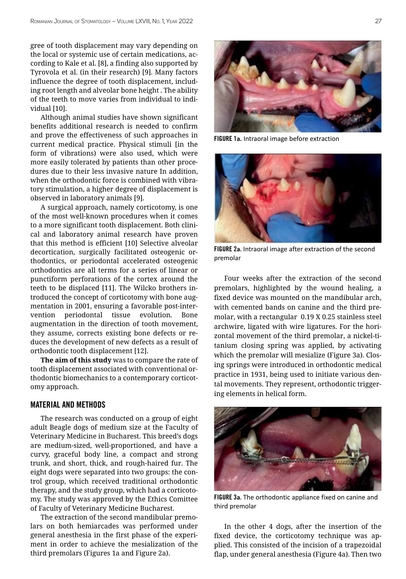gree of tooth displacement may vary depending on the local or systemic use of certain medications, according to Kale et al. [8], a finding also supported by Tyrovola et al. (in their research) [9]. Many factors influence the degree of tooth displacement, including root length and alveolar bone height . The ability of the teeth to move varies from individual to individual [10].

Although animal studies have shown significant benefits additional research is needed to confirm and prove the effectiveness of such approaches in current medical practice. Physical stimuli [in the form of vibrations) were also used, which were more easily tolerated by patients than other procedures due to their less invasive nature In addition, when the orthodontic force is combined with vibratory stimulation, a higher degree of displacement is observed in laboratory animals [9].

A surgical approach, namely corticotomy, is one of the most well-known procedures when it comes to a more significant tooth displacement. Both clinical and laboratory animal research have proven that this method is efficient [10] Selective alveolar decortication, surgically facilitated osteogenic orthodontics, or periodontal accelerated osteogenic orthodontics are all terms for a series of linear or punctiform perforations of the cortex around the teeth to be displaced [11]. The Wilcko brothers introduced the concept of corticotomy with bone augmentation in 2001, ensuring a favorable post-intervention periodontal tissue evolution. Bone augmentation in the direction of tooth movement, they assume, corrects existing bone defects or reduces the development of new defects as a result of orthodontic tooth displacement [12].

**The aim of this study** was to compare the rate of tooth displacement associated with conventional orthodontic biomechanics to a contemporary corticotomy approach.

## Material and methods

The research was conducted on a group of eight adult Beagle dogs of medium size at the Faculty of Veterinary Medicine in Bucharest. This breed's dogs are medium-sized, well-proportioned, and have a curvy, graceful body line, a compact and strong trunk, and short, thick, and rough-haired fur. The eight dogs were separated into two groups: the control group, which received traditional orthodontic therapy, and the study group, which had a corticotomy. The study was approved by the Ethics Comittee of Faculty of Veterinary Medicine Bucharest.

The extraction of the second mandibular premolars on both hemiarcades was performed under general anesthesia in the first phase of the experiment in order to achieve the mesialization of the third premolars (Figures 1a and Figure 2a).



FIGURE 1**a.** Intraoral image before extraction



FIGURE 2**a**. Intraoral image after extraction of the second premolar

Four weeks after the extraction of the second premolars, highlighted by the wound healing, a fixed device was mounted on the mandibular arch, with cemented bands on canine and the third premolar, with a rectangular 0.19 X 0.25 stainless steel archwire, ligated with wire ligatures. For the horizontal movement of the third premolar, a nickel-titanium closing spring was applied, by activating which the premolar will mesialize (Figure 3a). Closing springs were introduced in orthodontic medical practice in 1931, being used to initiate various dental movements. They represent, orthodontic triggering elements in helical form.



FIGURE 3**a**. The orthodontic appliance fixed on canine and third premolar

In the other 4 dogs, after the insertion of the fixed device, the corticotomy technique was applied. This consisted of the incision of a trapezoidal flap, under general anesthesia (Figure 4a). Then two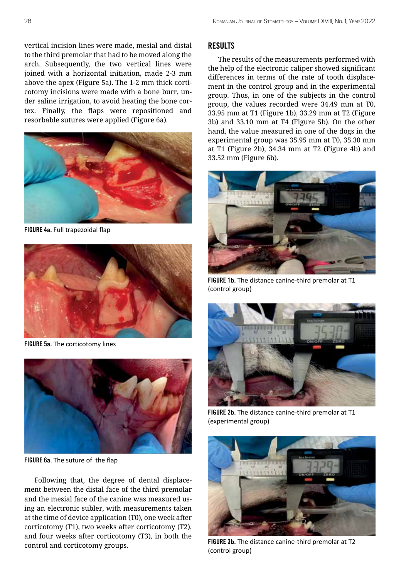vertical incision lines were made, mesial and distal to the third premolar that had to be moved along the arch. Subsequently, the two vertical lines were joined with a horizontal initiation, made 2-3 mm above the apex (Figure 5a). The 1-2 mm thick corticotomy incisions were made with a bone burr, under saline irrigation, to avoid heating the bone cortex. Finally, the flaps were repositioned and resorbable sutures were applied (Figure 6a).



FIGURE 4**a**. Full trapezoidal flap



FIGURE 5**a**. The corticotomy lines



FIGURE 6**a**. The suture of the flap

Following that, the degree of dental displacement between the distal face of the third premolar and the mesial face of the canine was measured using an electronic subler, with measurements taken at the time of device application (T0), one week after corticotomy (T1), two weeks after corticotomy (T2), and four weeks after corticotomy (T3), in both the control and corticotomy groups.

### Results

The results of the measurements performed with the help of the electronic caliper showed significant differences in terms of the rate of tooth displacement in the control group and in the experimental group. Thus, in one of the subjects in the control group, the values recorded were 34.49 mm at T0, 33.95 mm at T1 (Figure 1b), 33.29 mm at T2 (Figure 3b) and 33.10 mm at T4 (Figure 5b). On the other hand, the value measured in one of the dogs in the experimental group was 35.95 mm at T0, 35.30 mm at T1 (Figure 2b), 34.34 mm at T2 (Figure 4b) and 33.52 mm (Figure 6b).



FIGURE 1**b**. The distance canine-third premolar at T1 (control group)



FIGURE 2**b**. The distance canine-third premolar at T1 (experimental group)



FIGURE 3**b**. The distance canine-third premolar at T2 (control group)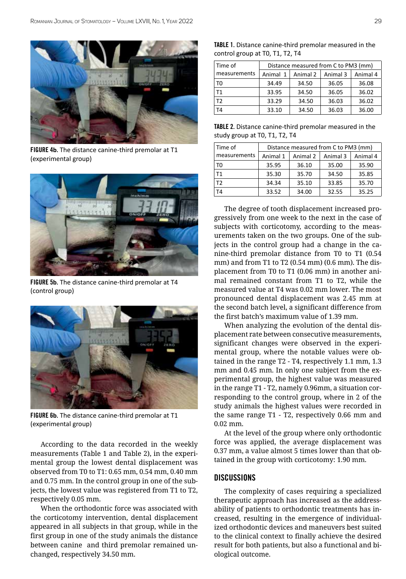

FIGURE 4**b**. The distance canine-third premolar at T1 (experimental group)



FIGURE 5**b**. The distance canine-third premolar at T4 (control group)



FIGURE 6**b**. The distance canine-third premolar at T1 (experimental group)

According to the data recorded in the weekly measurements (Table 1 and Table 2), in the experimental group the lowest dental displacement was observed from T0 to T1: 0.65 mm, 0.54 mm, 0.40 mm and 0.75 mm. In the control group in one of the subjects, the lowest value was registered from T1 to T2, respectively 0.05 mm.

When the orthodontic force was associated with the corticotomy intervention, dental displacement appeared in all subjects in that group, while in the first group in one of the study animals the distance between canine and third premolar remained unchanged, respectively 34.50 mm.

| TABLE 1. Distance canine-third premolar measured in the |  |  |
|---------------------------------------------------------|--|--|
| control group at T0, T1, T2, T4                         |  |  |

| Time of      | Distance measured from C to PM3 (mm) |          |          |          |
|--------------|--------------------------------------|----------|----------|----------|
| measurements | Animal 1                             | Animal 2 | Animal 3 | Animal 4 |
| T0           | 34.49                                | 34.50    | 36.05    | 36.08    |
| T1           | 33.95                                | 34.50    | 36.05    | 36.02    |
| T2           | 33.29                                | 34.50    | 36.03    | 36.02    |
| T4           | 33.10                                | 34.50    | 36.03    | 36.00    |

| TABLE 2. Distance canine-third premolar measured in the |
|---------------------------------------------------------|
| study group at T0, T1, T2, T4                           |

| Time of        | Distance measured from C to PM3 (mm) |          |          |          |  |
|----------------|--------------------------------------|----------|----------|----------|--|
| measurements   | Animal 1                             | Animal 2 | Animal 3 | Animal 4 |  |
| T0             | 35.95                                | 36.10    | 35.00    | 35.90    |  |
| T1             | 35.30                                | 35.70    | 34.50    | 35.85    |  |
| T <sub>2</sub> | 34.34                                | 35.10    | 33.85    | 35.70    |  |
| T4             | 33.52                                | 34.00    | 32.55    | 35.25    |  |

The degree of tooth displacement increased progressively from one week to the next in the case of subjects with corticotomy, according to the measurements taken on the two groups. One of the subjects in the control group had a change in the canine-third premolar distance from T0 to T1 (0.54 mm) and from T1 to T2 (0.54 mm) (0.6 mm). The displacement from T0 to T1 (0.06 mm) in another animal remained constant from T1 to T2, while the measured value at T4 was 0.02 mm lower. The most pronounced dental displacement was 2.45 mm at the second batch level, a significant difference from the first batch's maximum value of 1.39 mm.

When analyzing the evolution of the dental displacement rate between consecutive measurements, significant changes were observed in the experimental group, where the notable values were obtained in the range T2 - T4, respectively 1.1 mm, 1.3 mm and 0.45 mm. In only one subject from the experimental group, the highest value was measured in the range T1 - T2, namely 0.96mm, a situation corresponding to the control group, where in 2 of the study animals the highest values were recorded in the same range T1 - T2, respectively 0.66 mm and 0.02 mm.

At the level of the group where only orthodontic force was applied, the average displacement was 0.37 mm, a value almost 5 times lower than that obtained in the group with corticotomy: 1.90 mm.

## **DISCUSSIONS**

The complexity of cases requiring a specialized therapeutic approach has increased as the addressability of patients to orthodontic treatments has increased, resulting in the emergence of individualized orthodontic devices and maneuvers best suited to the clinical context to finally achieve the desired result for both patients, but also a functional and biological outcome.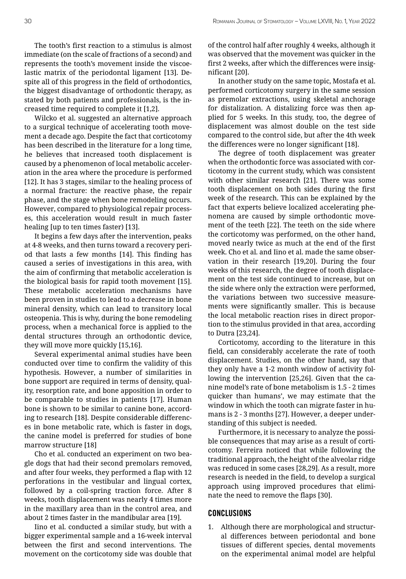The tooth's first reaction to a stimulus is almost immediate (on the scale of fractions of a second) and represents the tooth's movement inside the viscoelastic matrix of the periodontal ligament [13]. Despite all of this progress in the field of orthodontics, the biggest disadvantage of orthodontic therapy, as stated by both patients and professionals, is the increased time required to complete it [1,2].

Wilcko et al. suggested an alternative approach to a surgical technique of accelerating tooth movement a decade ago. Despite the fact that corticotomy has been described in the literature for a long time, he believes that increased tooth displacement is caused by a phenomenon of local metabolic acceleration in the area where the procedure is performed [12]. It has 3 stages, similar to the healing process of a normal fracture: the reactive phase, the repair phase, and the stage when bone remodeling occurs. However, compared to physiological repair processes, this acceleration would result in much faster healing [up to ten times faster) [13].

It begins a few days after the intervention, peaks at 4-8 weeks, and then turns toward a recovery period that lasts a few months [14]. This finding has caused a series of investigations in this area, with the aim of confirming that metabolic acceleration is the biological basis for rapid tooth movement [15]. These metabolic acceleration mechanisms have been proven in studies to lead to a decrease in bone mineral density, which can lead to transitory local osteopenia. This is why, during the bone remodeling process, when a mechanical force is applied to the dental structures through an orthodontic device, they will move more quickly [15,16].

Several experimental animal studies have been conducted over time to confirm the validity of this hypothesis. However, a number of similarities in bone support are required in terms of density, quality, resorption rate, and bone apposition in order to be comparable to studies in patients [17]. Human bone is shown to be similar to canine bone, according to research [18]. Despite considerable differences in bone metabolic rate, which is faster in dogs, the canine model is preferred for studies of bone marrow structure [18]

Cho et al. conducted an experiment on two beagle dogs that had their second premolars removed, and after four weeks, they performed a flap with 12 perforations in the vestibular and lingual cortex, followed by a coil-spring traction force. After 8 weeks, tooth displacement was nearly 4 times more in the maxillary area than in the control area, and about 2 times faster in the mandibular area [19].

Iino et al. conducted a similar study, but with a bigger experimental sample and a 16-week interval between the first and second interventions. The movement on the corticotomy side was double that of the control half after roughly 4 weeks, although it was observed that the movement was quicker in the first 2 weeks, after which the differences were insignificant [20].

In another study on the same topic, Mostafa et al. performed corticotomy surgery in the same session as premolar extractions, using skeletal anchorage for distalization. A distalizing force was then applied for 5 weeks. In this study, too, the degree of displacement was almost double on the test side compared to the control side, but after the 4th week the differences were no longer significant [18].

The degree of tooth displacement was greater when the orthodontic force was associated with corticotomy in the current study, which was consistent with other similar research [21]. There was some tooth displacement on both sides during the first week of the research. This can be explained by the fact that experts believe localized accelerating phenomena are caused by simple orthodontic movement of the teeth [22]. The teeth on the side where the corticotomy was performed, on the other hand, moved nearly twice as much at the end of the first week. Cho et al. and Iino et al. made the same observation in their research [19,20]. During the four weeks of this research, the degree of tooth displacement on the test side continued to increase, but on the side where only the extraction were performed, the variations between two successive measurements were significantly smaller. This is because the local metabolic reaction rises in direct proportion to the stimulus provided in that area, according to Dutra [23,24].

Corticotomy, according to the literature in this field, can considerably accelerate the rate of tooth displacement. Studies, on the other hand, say that they only have a 1-2 month window of activity following the intervention [25,26]. Given that the canine model's rate of bone metabolism is 1.5 - 2 times quicker than humans', we may estimate that the window in which the tooth can migrate faster in humans is 2 - 3 months [27]. However, a deeper understanding of this subject is needed.

Furthermore, it is necessary to analyze the possible consequences that may arise as a result of corticotomy. Ferreira noticed that while following the traditional approach, the height of the alveolar ridge was reduced in some cases [28,29]. As a result, more research is needed in the field, to develop a surgical approach using improved procedures that eliminate the need to remove the flaps [30].

#### Conclusions

1. Although there are morphological and structural differences between periodontal and bone tissues of different species, dental movements on the experimental animal model are helpful